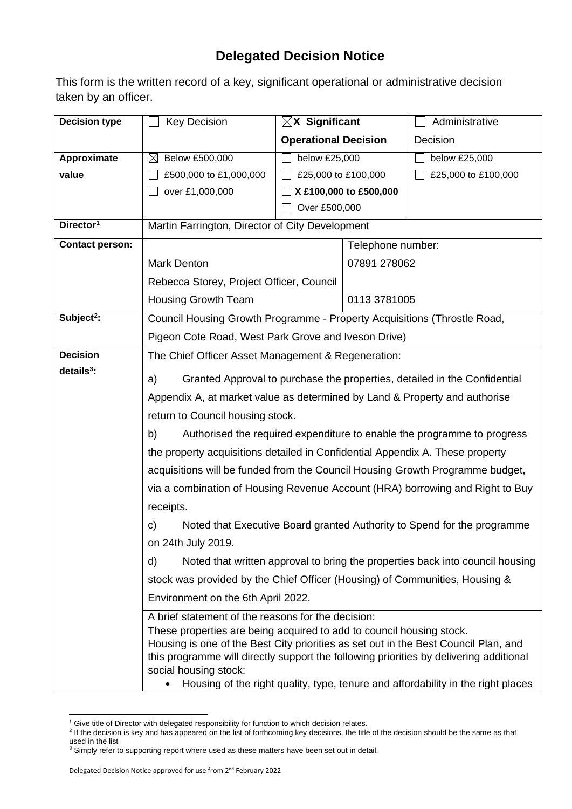## **Delegated Decision Notice**

This form is the written record of a key, significant operational or administrative decision taken by an officer.

| <b>Decision type</b>   | <b>Key Decision</b>                                                                                                                                                           | $\boxtimes$ X Significant                                                |  | Administrative      |  |  |
|------------------------|-------------------------------------------------------------------------------------------------------------------------------------------------------------------------------|--------------------------------------------------------------------------|--|---------------------|--|--|
|                        |                                                                                                                                                                               | <b>Operational Decision</b>                                              |  | Decision            |  |  |
| Approximate            | Below £500,000<br>$\boxtimes$                                                                                                                                                 | below £25,000                                                            |  | below £25,000       |  |  |
| value                  | £500,000 to £1,000,000                                                                                                                                                        | £25,000 to £100,000                                                      |  | £25,000 to £100,000 |  |  |
|                        | over £1,000,000                                                                                                                                                               | X £100,000 to £500,000                                                   |  |                     |  |  |
|                        |                                                                                                                                                                               | Over £500,000                                                            |  |                     |  |  |
| Director <sup>1</sup>  |                                                                                                                                                                               | Martin Farrington, Director of City Development                          |  |                     |  |  |
| <b>Contact person:</b> |                                                                                                                                                                               | Telephone number:                                                        |  |                     |  |  |
|                        | <b>Mark Denton</b>                                                                                                                                                            | 07891 278062                                                             |  |                     |  |  |
|                        | Rebecca Storey, Project Officer, Council                                                                                                                                      |                                                                          |  |                     |  |  |
|                        | <b>Housing Growth Team</b>                                                                                                                                                    | 0113 3781005                                                             |  |                     |  |  |
| Subject <sup>2</sup> : |                                                                                                                                                                               | Council Housing Growth Programme - Property Acquisitions (Throstle Road, |  |                     |  |  |
|                        | Pigeon Cote Road, West Park Grove and Iveson Drive)                                                                                                                           |                                                                          |  |                     |  |  |
| <b>Decision</b>        | The Chief Officer Asset Management & Regeneration:                                                                                                                            |                                                                          |  |                     |  |  |
| $details3$ :           | Granted Approval to purchase the properties, detailed in the Confidential<br>a)                                                                                               |                                                                          |  |                     |  |  |
|                        | Appendix A, at market value as determined by Land & Property and authorise                                                                                                    |                                                                          |  |                     |  |  |
|                        | return to Council housing stock.                                                                                                                                              |                                                                          |  |                     |  |  |
|                        | Authorised the required expenditure to enable the programme to progress<br>b)                                                                                                 |                                                                          |  |                     |  |  |
|                        | the property acquisitions detailed in Confidential Appendix A. These property                                                                                                 |                                                                          |  |                     |  |  |
|                        | acquisitions will be funded from the Council Housing Growth Programme budget,                                                                                                 |                                                                          |  |                     |  |  |
|                        | via a combination of Housing Revenue Account (HRA) borrowing and Right to Buy                                                                                                 |                                                                          |  |                     |  |  |
|                        | receipts.                                                                                                                                                                     |                                                                          |  |                     |  |  |
|                        | Noted that Executive Board granted Authority to Spend for the programme<br>C)                                                                                                 |                                                                          |  |                     |  |  |
|                        | on 24th July 2019.                                                                                                                                                            |                                                                          |  |                     |  |  |
|                        | Noted that written approval to bring the properties back into council housing<br>d)                                                                                           |                                                                          |  |                     |  |  |
|                        | stock was provided by the Chief Officer (Housing) of Communities, Housing &                                                                                                   |                                                                          |  |                     |  |  |
|                        | Environment on the 6th April 2022.                                                                                                                                            |                                                                          |  |                     |  |  |
|                        | A brief statement of the reasons for the decision:                                                                                                                            |                                                                          |  |                     |  |  |
|                        | These properties are being acquired to add to council housing stock.                                                                                                          |                                                                          |  |                     |  |  |
|                        | Housing is one of the Best City priorities as set out in the Best Council Plan, and<br>this programme will directly support the following priorities by delivering additional |                                                                          |  |                     |  |  |
|                        | social housing stock:                                                                                                                                                         |                                                                          |  |                     |  |  |
|                        | Housing of the right quality, type, tenure and affordability in the right places<br>$\bullet$                                                                                 |                                                                          |  |                     |  |  |

<sup>&</sup>lt;sup>1</sup> Give title of Director with delegated responsibility for function to which decision relates.

<sup>&</sup>lt;sup>2</sup> If the decision is key and has appeared on the list of forthcoming key decisions, the title of the decision should be the same as that used in the list

 $3$  Simply refer to supporting report where used as these matters have been set out in detail.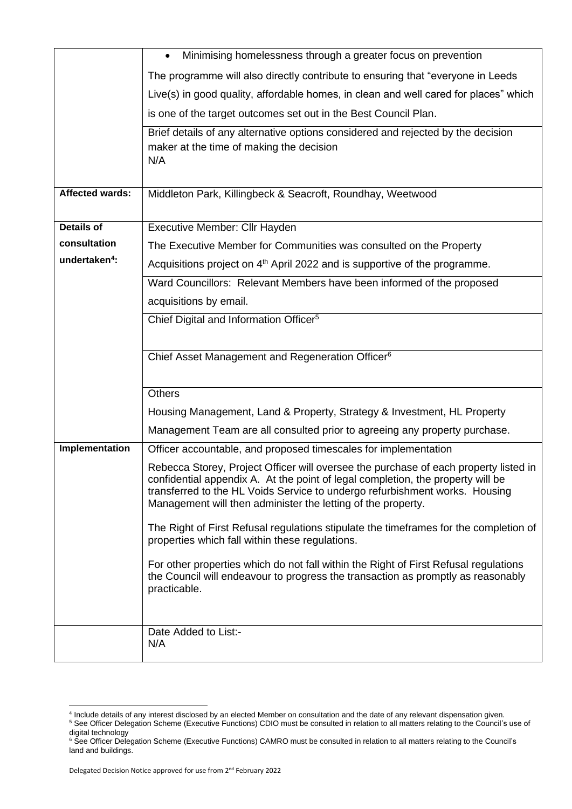|                           | Minimising homelessness through a greater focus on prevention<br>$\bullet$                                                                                                                                                                                                                                             |  |  |  |  |  |
|---------------------------|------------------------------------------------------------------------------------------------------------------------------------------------------------------------------------------------------------------------------------------------------------------------------------------------------------------------|--|--|--|--|--|
|                           | The programme will also directly contribute to ensuring that "everyone in Leeds"                                                                                                                                                                                                                                       |  |  |  |  |  |
|                           | Live(s) in good quality, affordable homes, in clean and well cared for places" which                                                                                                                                                                                                                                   |  |  |  |  |  |
|                           | is one of the target outcomes set out in the Best Council Plan.                                                                                                                                                                                                                                                        |  |  |  |  |  |
|                           | Brief details of any alternative options considered and rejected by the decision<br>maker at the time of making the decision<br>N/A                                                                                                                                                                                    |  |  |  |  |  |
| <b>Affected wards:</b>    | Middleton Park, Killingbeck & Seacroft, Roundhay, Weetwood                                                                                                                                                                                                                                                             |  |  |  |  |  |
| <b>Details of</b>         | Executive Member: Cllr Hayden                                                                                                                                                                                                                                                                                          |  |  |  |  |  |
| consultation              | The Executive Member for Communities was consulted on the Property                                                                                                                                                                                                                                                     |  |  |  |  |  |
| undertaken <sup>4</sup> : | Acquisitions project on $4th$ April 2022 and is supportive of the programme.                                                                                                                                                                                                                                           |  |  |  |  |  |
|                           | Ward Councillors: Relevant Members have been informed of the proposed                                                                                                                                                                                                                                                  |  |  |  |  |  |
|                           | acquisitions by email.                                                                                                                                                                                                                                                                                                 |  |  |  |  |  |
|                           | Chief Digital and Information Officer <sup>5</sup>                                                                                                                                                                                                                                                                     |  |  |  |  |  |
|                           |                                                                                                                                                                                                                                                                                                                        |  |  |  |  |  |
|                           | Chief Asset Management and Regeneration Officer <sup>6</sup>                                                                                                                                                                                                                                                           |  |  |  |  |  |
|                           | <b>Others</b>                                                                                                                                                                                                                                                                                                          |  |  |  |  |  |
|                           | Housing Management, Land & Property, Strategy & Investment, HL Property                                                                                                                                                                                                                                                |  |  |  |  |  |
|                           | Management Team are all consulted prior to agreeing any property purchase.                                                                                                                                                                                                                                             |  |  |  |  |  |
| Implementation            | Officer accountable, and proposed timescales for implementation                                                                                                                                                                                                                                                        |  |  |  |  |  |
|                           | Rebecca Storey, Project Officer will oversee the purchase of each property listed in<br>confidential appendix A. At the point of legal completion, the property will be<br>transferred to the HL Voids Service to undergo refurbishment works. Housing<br>Management will then administer the letting of the property. |  |  |  |  |  |
|                           | The Right of First Refusal regulations stipulate the timeframes for the completion of<br>properties which fall within these regulations.                                                                                                                                                                               |  |  |  |  |  |
|                           | For other properties which do not fall within the Right of First Refusal regulations<br>the Council will endeavour to progress the transaction as promptly as reasonably<br>practicable.                                                                                                                               |  |  |  |  |  |
|                           |                                                                                                                                                                                                                                                                                                                        |  |  |  |  |  |
|                           | Date Added to List:-<br>N/A                                                                                                                                                                                                                                                                                            |  |  |  |  |  |

<sup>4</sup> Include details of any interest disclosed by an elected Member on consultation and the date of any relevant dispensation given. <sup>5</sup> See Officer Delegation Scheme (Executive Functions) CDIO must be consulted in relation to all matters relating to the Council's use of digital technology

<sup>&</sup>lt;sup>6</sup> See Officer Delegation Scheme (Executive Functions) CAMRO must be consulted in relation to all matters relating to the Council's land and buildings.